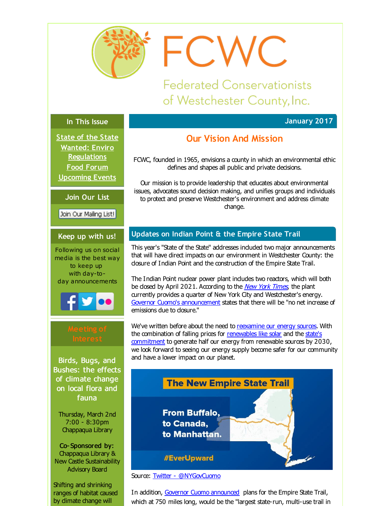<span id="page-0-0"></span>

FCWC

**Federated Conservationists** of Westchester County, Inc.

## **In This Issue**

**[State](#page-0-0) of the State Wanted: Enviro [Regulations](#page-0-0) Food [Forum](#page-0-0) [Upcoming](#page-0-0) Events**

**Join Our List**

Join Our Mailing List!

## **Keep up with us!**

Following us on social media is the best way to keep up with day-today announcements



Birds, Bugs, and Bushes: the effects of climate change on local flora and fauna

Thursday, March 2nd 7:00 - 8:30pm Chappaqua Library

Co- Sponsored by: Chappaqua Library & New Castle Sustainability Advisory Board

Shifting and shrinking ranges of habitat caused by dimate change will

# **Our Vision And Mission**

**January 2017**

FCWC, founded in 1965, envisions a county in which an environmental ethic defines and shapes all public and private decisions.

Our mission is to provide leadership that educates about environmental issues, advocates sound decision making, and unifies groups and individuals to protect and preserve Westchester's environment and address dimate change.

## **Updates on Indian Point & the Empire State Trail**

This year's "State of the State" addresses induded two major announcements that will have direct impacts on our environment in Westchester County: the dosure of Indian Point and the construction of the Empire State Trail.

The Indian Point nudear power plant indudes two reactors, which will both be dosed by April 2021. According to the *New York [Times](http://r20.rs6.net/tn.jsp?f=001rvnedM4PtbG_o_hxN2jbdGbwARc6GGTozWAYm_1RtQkRkTgGfCR8SDmzWnPaLjJZPS1UNO24suTnyId9ncismKNQ9V3ilm6GJyF48xm7QsrsD58Z1aW9CowOQ2ZhPaKTPcM2WRjAqOTShuxmpASBJ6lR6O8vWdfFRlZXOTcIkIeUIttcwYgIOi5W7FYhXrJaozSIl00FWJcP5MCHwgBKfZCoPhTDcnjXnfmCUHja4K_5dpIz4rZabksW1PUip-wZ2-Q5vHy3uDdiHHsB7SeP3Q==&c=&ch=)*, the plant currently provides a quarter of New York City and Westchester's energy. Governor Cuomo's [announcement](http://r20.rs6.net/tn.jsp?f=001rvnedM4PtbG_o_hxN2jbdGbwARc6GGTozWAYm_1RtQkRkTgGfCR8SDmzWnPaLjJZh7qQu66zGsTZmUITj9Kc5GmoGclqaNpEx9Zg03I412JUvUCWBp-ocZq9DoxLsiCpeQJaSuVW-rDEJbdK09HJKQ1O3SBF8yq1QLQ99bnT6ZXB1eFHnywynVXxGqOvlFh6c46svQEOOh5oAuj-3Xkt4Jo-Yqq0TaguET7xNWAwqBJtI61y4HryVRkaL3v546g4y9r3psVjwd6eZqvtU3vElJgG9zUHE6PcR-GuIuqolBFDgKnPXQEBUg==&c=&ch=) states that there will be "no net increase of emissions due to dosure."

We've written before about the need to [reexamine](http://r20.rs6.net/tn.jsp?f=001rvnedM4PtbG_o_hxN2jbdGbwARc6GGTozWAYm_1RtQkRkTgGfCR8SJ5ZP6YL24BXckn-vxa859GtQ0AB1B3mfCeAfPcAPyotdf9lgWC4vutLoXNlEXUqsv-JYcVbFpbJoVOEjPnvdPANSyKncHxTq2TLVDW7g_SAF9I67bAnTOZAP13Txu17_p50T6Is2416La0DrVodQmhAXIcnXASCOLZCO7Vng1pyLTcv7rdTHado0Hev1-DUo3huBDUCxXV2&c=&ch=) our energy sources. With the combination of falling prices for [renewables](http://r20.rs6.net/tn.jsp?f=001rvnedM4PtbG_o_hxN2jbdGbwARc6GGTozWAYm_1RtQkRkTgGfCR8SDmzWnPaLjJZ5Dgm9VABo9XYFoWVGzQ3O6dvzTNFhCqKblyXfb0VcUC_mzjGZ2HEX1j9ST88kb9m52_uGtGwvtDOgfe2U9Gv9ibmgy2tacUe6kk7oye-exJ9UdVmp3grD2D9_PXZL0ZRqGF6QiVsABjCQD-e-cq_8dJEY5wCfHDIyVpc9Kw_ozAiDgnm9LmBzBM2Dt3xjUyL1_-Elkd8rWB4K2jyBZ3_x0uyZgpGIy5QmA9M1SH8feE=&c=&ch=) like solar and the state's [commitment](http://r20.rs6.net/tn.jsp?f=001rvnedM4PtbG_o_hxN2jbdGbwARc6GGTozWAYm_1RtQkRkTgGfCR8SDmzWnPaLjJZFYqga4zIM-78UVDw_Js3XeoRu55RPegCS44Z9zQCZ_vn6KXLxlODWGVN7CrDJNPUH6aoj8-WH9rEyMCxa8one9TpOV112DZ3Y5Ir-OG9iHlf1L4j5BGSPqO9SFRyJttG4jQTFd4CAZgcol820iI5lPrqaUx2jYCBlt0711mUrhPMXV2cse4PpQj5wwCjR989QIJRLWZ24zWR9nnHPHo1nF8wC1Sj4FAqLUAcLFdx1pxaZNG_CDaixA==&c=&ch=) to generate half our energy from renewable sources by 2030, we look forward to seeing our energy supply become safer for our community and have a lower impact on our planet.



Source: Twitter - [@NYGovCuomo](http://r20.rs6.net/tn.jsp?f=001rvnedM4PtbG_o_hxN2jbdGbwARc6GGTozWAYm_1RtQkRkTgGfCR8SDmzWnPaLjJZWCD8M9dIWq3p6iuSSBj5mMozCd0YQihx1OR5JUg_7qpaz3fmK-QyndrAWrcdBCAdeqiUD-SlMaJOJDYMegDFeEKBeN-iT_NJl3kaPpONIEbj2O7iyp1JGkcZ_VtFoO5hIPw-8UXHli3vOanpdakPwYrIIamA3Rac&c=&ch=)

In addition, Governor Cuomo [announced](http://r20.rs6.net/tn.jsp?f=001rvnedM4PtbG_o_hxN2jbdGbwARc6GGTozWAYm_1RtQkRkTgGfCR8SDmzWnPaLjJZSLL2R9QoELQHD5yHloUI-y_UH06uyVEVWpQrsgdM8TI2mxA9nOOoJDe0wc8vTfRpLANYw0-bV4IRW4UyY04hQ5thzmOgM78S-xEfs0tlZ8OizBRISaG3TMmcCX1UyySlFqmIdmjJCO7QI0aogji-p7sltUN39odfrBoAuC11Pan755Pn2QH1Nst4U5zo6rT82eY9oA4gAsXsOvwXJQt3Cc36ygSJ0VwW7gq_BumasAYvl6PIvmXsQQ==&c=&ch=) plans for the Empire State Trail, which at 750 miles long, would be the "largest state-run, multi-use trail in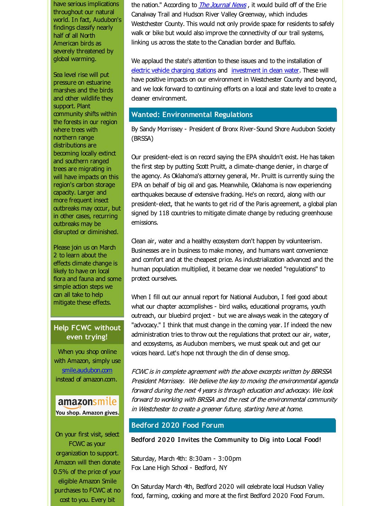have serious implications throughout our natural world. In fact, Audubon's findings dassify nearly half of all North American birds as severely threatened by global warming.

Sea level rise will put pressure on estuarine marshes and the birds and other wildlife they support. Plant community shifts within the forests in our region where trees with northern range distributions are becoming locally extinct and southern ranged trees are migrating in will have impacts on this region's carbon storage capacity. Larger and more frequent insect outbreaks may occur, but in other cases, recurring outbreaks may be disrupted or diminished.

Please join us on March 2 to learn about the effects dimate change is likely to have on local flora and fauna and some simple action steps we can all take to help mitigate these effects.

## **Help FCWC without even trying!**

When you shop online with Amazon, simply use [smile.audubon.com](http://r20.rs6.net/tn.jsp?f=001rvnedM4PtbG_o_hxN2jbdGbwARc6GGTozWAYm_1RtQkRkTgGfCR8SDmzWnPaLjJZz010yIEpBMTeUItnhBbQFmgOEFX1Q0rGQdl2xBVuz1E4GV_aQimnNxHqvTAGAIJ5rK9w6QGv_sYIpufsJ0VAK7ak7Vz_hZqX_Ftb92irsoY=&c=&ch=) instead of amazon.com.

## amazonsmile You shop. Amazon gives.

On your first visit, select FCWC as your organization to support. Amazon will then donate 0.5% of the price of your eligible Amazon Smile purchases to FCWC at no cost to you. Every bit

the nation." According to *The [Journal](http://r20.rs6.net/tn.jsp?f=001rvnedM4PtbG_o_hxN2jbdGbwARc6GGTozWAYm_1RtQkRkTgGfCR8SDmzWnPaLjJZgx7NtIj2Hn_H6QNce8F2eSAK3Z-XzN2LAkKonWrPYlZvWdOlecvWtpYcpgZG1QfSaYp66DUpSS4QWj1B3g7WC86PLfceDsYN78Dw9At_ykQWpt47QqWptL1JIq_CrNR0xL_rkcoZa8csGq0lGoSIU0us1OF0CTWKIFZ_dpLi0EYuMplzbG1-bFWkqlqMxaZ6WS18NCLeFwjttV4lm61X2BVeaOrBAq3IC6PPPKSfLGBo_DsQZt300KO1ubw_Iri1&c=&ch=) News*, it would build off of the Erie Canalway Trail and Hudson River Valley Greenway, which indudes Westchester County. This would not only provide space for residents to safely walk or bike but would also improve the connectivity of our trail systems, linking us across the state to the Canadian border and Buffalo.

We applaud the state's attention to these issues and to the installation of electric vehide [charging](http://r20.rs6.net/tn.jsp?f=001rvnedM4PtbG_o_hxN2jbdGbwARc6GGTozWAYm_1RtQkRkTgGfCR8SDmzWnPaLjJZeqzrc1fRbIysE_YlmIIC9MjgMG8hdzKaWzsA0i3PG5KUlaVpssuKI5Wh0zzSfEsN5Fx-NO5SkTEULL2G3KoQKJNiIEdjz9kFxPBDkZsGDRQZnmcPaJQ8Cm94iNwfRPJMjiw7IzW0yMrYg-AAiSK_2VwSOFAggKUf2ZkdJYqgW8Dr9Jny40kCz-6mK3D81Cm1ztaO3BbN73UEsrr4c7hBZjCNpJ2ZuR6Z7YKD7ardVKrg-FMbpnkRRg==&c=&ch=) stations and [investment](http://r20.rs6.net/tn.jsp?f=001rvnedM4PtbG_o_hxN2jbdGbwARc6GGTozWAYm_1RtQkRkTgGfCR8SDmzWnPaLjJZ1QccbcZLeSPKhhjxUZ0hOlLA7QledEjioAL4DceNBz3TSpyTl4e6BUq1xjAVLntgQOb-U7JFSXPvtY8BVodIAwoD9nfscBdga9AyxyDS2RoJveFA3P0KAd5j1lugNkM2IK0SEXitEO5m0iqa7XROyVzL8R1Jw2dP81eVB4I3g4KLFrB3AEgg2GVWcL6IkWhs2gs_WJwBIze9FpRqLXl148e-LcGZxwcp4BLUA9M7tIw=&c=&ch=) in dean water. These will have positive impacts on our environment in Westchester County and beyond, and we look forward to continuing efforts on a local and state level to create a cleaner environment.

### **Wanted: Environmental Regulations**

By Sandy Morrissey - President of Bronx River-Sound Shore Audubon Society (BRSSA)

Our president-elect is on record saying the EPA shouldn't exist. He has taken the first step by putting Scott Pruitt, a climate-change denier, in charge of the agency. As Oklahoma's attorney general, Mr. Pruitt is currently suing the EPA on behalf of big oil and gas. Meanwhile, Oklahoma is now experiencing earthquakes because of extensive fracking. He's on record, along with our president-elect, that he wants to get rid of the Paris agreement, a global plan signed by 118 countries to mitigate dimate change by reducing greenhouse emissions.

Clean air, water and a healthy ecosystem don't happen by volunteerism. Businesses are in business to make money, and humans want convenience and comfort and at the cheapest price. As industrialization advanced and the human population multiplied, it became dear we needed "regulations" to protect ourselves.

When I fill out our annual report for National Audubon, I feel good about what our chapter accomplishes - bird walks, educational programs, youth outreach, our bluebird project - but we are always weak in the category of "advocacy." I think that must change in the coming year. If indeed the new administration tries to throw out the regulations that protect our air, water, and ecosystems, as Audubon members, we must speak out and get our voices heard. Let's hope not through the din of dense smog.

FCWC is in complete agreement with the above excerpts written by BBRSSA President Morrissey. We believe the key to moving the environmental agenda forward during the next 4 years is through education and advocacy. We look forward to working with BRSSA and the rest of the environmental community in Westchester to create <sup>a</sup> greener future, starting here at home.

## **Bedford 2020 Food Forum**

Bedford 2020 Invites the Community to Dig into Local Food!

Saturday, March 4th: 8:30am - 3:00pm Fox Lane High School - Bedford, NY

On Saturday March 4th, Bedford 2020 will celebrate local Hudson Valley food, farming, cooking and more at the first Bedford 2020 Food Forum.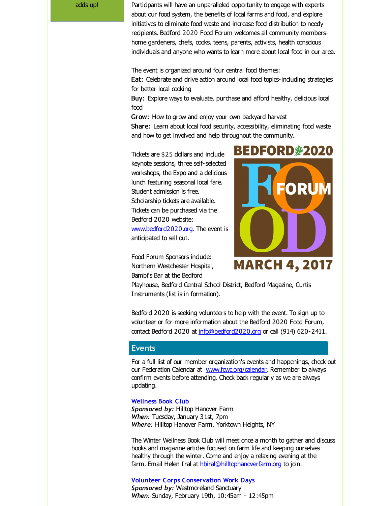adds up! Participants will have an unparalleled opportunity to engage with experts about our food system, the benefits of local farms and food, and explore initiatives to eliminate food waste and increase food distribution to needy recipients. Bedford 2020 Food Forum welcomes all community membershome gardeners, chefs, cooks, teens, parents, activists, health conscious individuals and anyone who wants to learn more about local food in our area.

> The event is organized around four central food themes: Eat: Celebrate and drive action around local food topics-induding strategies for better local cooking

Buy: Explore ways to evaluate, purchase and afford healthy, delicious local food

Grow: How to grow and enjoy your own backyard harvest Share: Learn about local food security, accessibility, eliminating food waste and how to get involved and help throughout the community.

Tickets are \$25 dollars and include keynote sessions, three self-selected workshops, the Expo and a delicious lunch featuring seasonal local fare. Student admission is free. Scholarship tickets are available. Tickets can be purchased via the Bedford 2020 website: [www.bedford2020.org](http://r20.rs6.net/tn.jsp?f=001rvnedM4PtbG_o_hxN2jbdGbwARc6GGTozWAYm_1RtQkRkTgGfCR8SDmzWnPaLjJZPO1GsWiQggmf5klAhV0YtxizSY4LIbjkEh8Mmn32E1184IAuPZMk1wH9cUpjRo6Ey3iFusi2tUWJRIgLAm6H5wtEK74uNJu4Q7tOvHDHzPA=&c=&ch=). The event is anticipated to sell out.

Food Forum Sponsors indude: Northern Westchester Hospital, Bambi's Bar at the Bedford



Playhouse, Bedford Central School District, Bedford Magazine, Curtis Instruments (list is in formation).

Bedford 2020 is seeking volunteers to help with the event. To sign up to volunteer or for more information about the Bedford 2020 Food Forum, contact Bedford 2020 at [info@bedford2020.org](mailto:info@bedford2020.org) or call (914) 620-2411.

#### **Events**

For a full list of our member organization's events and happenings, check out our Federation Calendar at www.fowc.org/calendar. Remember to always confirm events before attending. Check back regularly as we are always updating.

#### **Wellness Book Club**

*Sponsored by:* Hilltop Hanover Farm *When:* Tuesday, January 31st, 7pm *Where:* Hilltop Hanover Farm, Yorktown Heights, NY

The Winter Wellness Book Club will meet once a month to gather and discuss books and magazine artides focused on farm life and keeping ourselves healthy through the winter. Come and enjoy a relaxing evening at the farm. Email Helen Iral at [hbiral@hilltophanoverfarm.org](mailto:hbiral@hilltophanoverfarm.org) to join.

#### **Volunteer Corps Conservation Work Days**

**Sponsored by: Westmoreland Sanctuary** *When:* Sunday, February 19th, 10:45am - 12:45pm